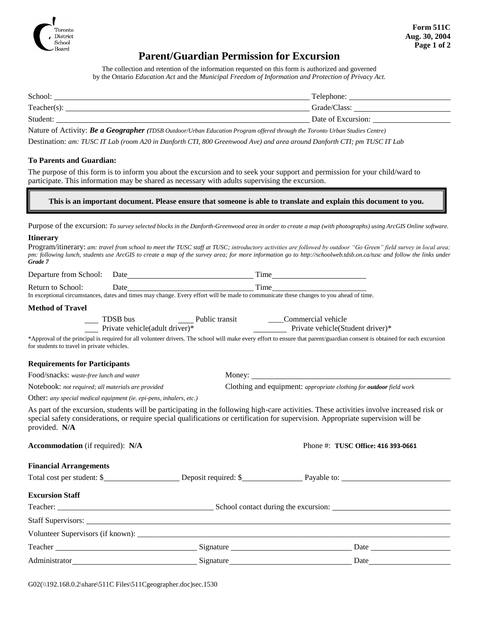

## **Parent/Guardian Permission for Excursion**

The collection and retention of the information requested on this form is authorized and governed by the Ontario *Education Act* and the *Municipal Freedom of Information and Protection of Privacy Act.*

| School:                                                                                                         | Telephone:         |
|-----------------------------------------------------------------------------------------------------------------|--------------------|
| Teacher(s):                                                                                                     | Grade/Class:       |
| Student:                                                                                                        | Date of Excursion: |
| the contract of the contract of the contract of the contract of the contract of the contract of the contract of |                    |

Nature of Activity: *Be a Geographer (TDSB Outdoor/Urban Education Program offered through the Toronto Urban Studies Centre)*

Destination: *am: TUSC IT Lab (room A20 in Danforth CTI, 800 Greenwood Ave) and area around Danforth CTI; pm TUSC IT Lab* 

## **To Parents and Guardian:**

The purpose of this form is to inform you about the excursion and to seek your support and permission for your child/ward to participate. This information may be shared as necessary with adults supervising the excursion.

**This is an important document. Please ensure that someone is able to translate and explain this document to you.**

Purpose of the excursion: *To survey selected blocks in the Danforth-Greenwood area in order to create a map (with photographs) using ArcGIS Online software.*

## **Itinerary**

Program/itinerary: *am: travel from school to meet the TUSC staff at TUSC; introductory activities are followed by outdoor "Go Green" field survey in local area; pm: following lunch, students use ArcGIS to create a map of the survey area; for more information go to http://schoolweb.tdsb.on.ca/tusc and follow the links under Grade 7*

|                                                                     |                                                                 | Return to School: Date<br>In exceptional circumstances, dates and times may change. Every effort will be made to communicate these changes to you ahead of time.                                                                                                                 |  |  |
|---------------------------------------------------------------------|-----------------------------------------------------------------|----------------------------------------------------------------------------------------------------------------------------------------------------------------------------------------------------------------------------------------------------------------------------------|--|--|
|                                                                     |                                                                 |                                                                                                                                                                                                                                                                                  |  |  |
| <b>Method of Travel</b>                                             |                                                                 |                                                                                                                                                                                                                                                                                  |  |  |
|                                                                     | Private vehicle(adult driver)* Trivate vehicle(Student driver)* |                                                                                                                                                                                                                                                                                  |  |  |
| for students to travel in private vehicles.                         |                                                                 | *Approval of the principal is required for all volunteer drivers. The school will make every effort to ensure that parent/guardian consent is obtained for each excursion                                                                                                        |  |  |
| <b>Requirements for Participants</b>                                |                                                                 |                                                                                                                                                                                                                                                                                  |  |  |
| Food/snacks: waste-free lunch and water                             |                                                                 |                                                                                                                                                                                                                                                                                  |  |  |
| Notebook: not required; all materials are provided                  |                                                                 | Clothing and equipment: appropriate clothing for <b>outdoor</b> field work                                                                                                                                                                                                       |  |  |
| Other: any special medical equipment (ie. epi-pens, inhalers, etc.) |                                                                 |                                                                                                                                                                                                                                                                                  |  |  |
| provided. N/A                                                       |                                                                 | As part of the excursion, students will be participating in the following high-care activities. These activities involve increased risk or<br>special safety considerations, or require special qualifications or certification for supervision. Appropriate supervision will be |  |  |
| Accommodation (if required): N/A                                    |                                                                 | Phone #: TUSC Office: 416 393-0661                                                                                                                                                                                                                                               |  |  |
| <b>Financial Arrangements</b>                                       |                                                                 |                                                                                                                                                                                                                                                                                  |  |  |
|                                                                     |                                                                 |                                                                                                                                                                                                                                                                                  |  |  |
| <b>Excursion Staff</b>                                              |                                                                 |                                                                                                                                                                                                                                                                                  |  |  |
|                                                                     |                                                                 |                                                                                                                                                                                                                                                                                  |  |  |
|                                                                     |                                                                 |                                                                                                                                                                                                                                                                                  |  |  |
|                                                                     |                                                                 |                                                                                                                                                                                                                                                                                  |  |  |
|                                                                     |                                                                 | Date and the same state of the state of the state of the state of the state of the state of the state of the state of the state of the state of the state of the state of the state of the state of the state of the state of                                                    |  |  |
| Administrator                                                       | Signature                                                       | Date                                                                                                                                                                                                                                                                             |  |  |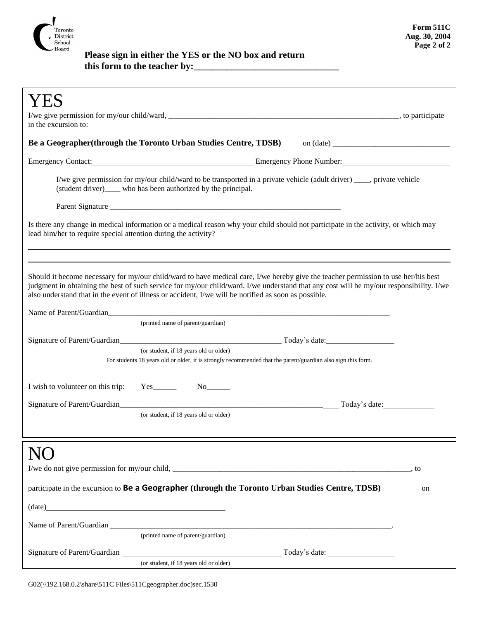

 **Please sign in either the YES or the NO box and return this form to the teacher by:\_\_\_\_\_\_\_\_\_\_\_\_\_\_\_\_\_\_\_\_\_\_\_\_\_\_\_\_\_\_\_**

| in the excursion to:                                                                                                                                                                                                                                                                                                                                                                                                       |    |  |  |
|----------------------------------------------------------------------------------------------------------------------------------------------------------------------------------------------------------------------------------------------------------------------------------------------------------------------------------------------------------------------------------------------------------------------------|----|--|--|
| <b>Be a Geographer (through the Toronto Urban Studies Centre, TDSB)</b> on (date) <u>_________________</u>                                                                                                                                                                                                                                                                                                                 |    |  |  |
| Emergency Contact: <u>Contact: Emergency Phone Number:</u> Emergency Phone Number:                                                                                                                                                                                                                                                                                                                                         |    |  |  |
| I/we give permission for my/our child/ward to be transported in a private vehicle (adult driver) ____, private vehicle<br>(student driver)_____ who has been authorized by the principal.                                                                                                                                                                                                                                  |    |  |  |
|                                                                                                                                                                                                                                                                                                                                                                                                                            |    |  |  |
| Is there any change in medical information or a medical reason why your child should not participate in the activity, or which may<br>lead him/her to require special attention during the activity?                                                                                                                                                                                                                       |    |  |  |
| Should it become necessary for my/our child/ward to have medical care, I/we hereby give the teacher permission to use her/his best<br>judgment in obtaining the best of such service for my/our child/ward. I/we understand that any cost will be my/our responsibility. I/we<br>also understand that in the event of illness or accident, I/we will be notified as soon as possible.<br>(printed name of parent/guardian) |    |  |  |
|                                                                                                                                                                                                                                                                                                                                                                                                                            |    |  |  |
| (or student, if 18 years old or older)<br>For students 18 years old or older, it is strongly recommended that the parent/guardian also sign this form.                                                                                                                                                                                                                                                                     |    |  |  |
| I wish to volunteer on this trip:<br>$Yes$ <sub>_________</sub>                                                                                                                                                                                                                                                                                                                                                            |    |  |  |
| Today's date:                                                                                                                                                                                                                                                                                                                                                                                                              |    |  |  |
| (or student, if 18 years old or older)                                                                                                                                                                                                                                                                                                                                                                                     |    |  |  |
|                                                                                                                                                                                                                                                                                                                                                                                                                            |    |  |  |
|                                                                                                                                                                                                                                                                                                                                                                                                                            |    |  |  |
| participate in the excursion to Be a Geographer (through the Toronto Urban Studies Centre, TDSB)                                                                                                                                                                                                                                                                                                                           | on |  |  |
| $(data)$ $(date)$                                                                                                                                                                                                                                                                                                                                                                                                          |    |  |  |
|                                                                                                                                                                                                                                                                                                                                                                                                                            |    |  |  |
| (printed name of parent/guardian)                                                                                                                                                                                                                                                                                                                                                                                          |    |  |  |
| (or student, if 18 years old or older)                                                                                                                                                                                                                                                                                                                                                                                     |    |  |  |